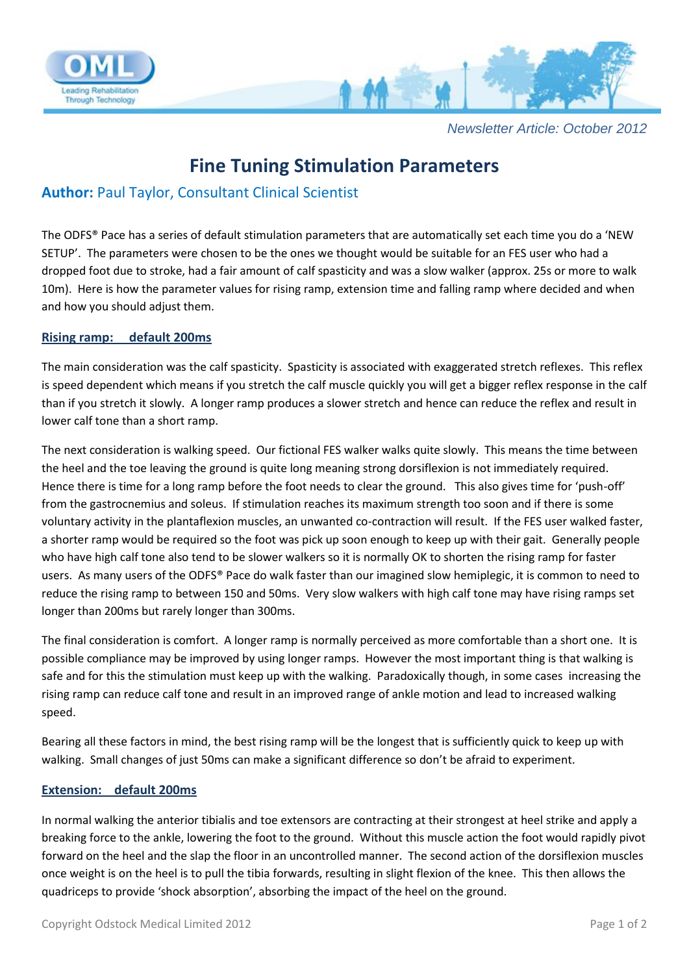

*Newsletter Article: October 2012*

# **Fine Tuning Stimulation Parameters**

## **Author:** Paul Taylor, Consultant Clinical Scientist

The ODFS® Pace has a series of default stimulation parameters that are automatically set each time you do a 'NEW SETUP'. The parameters were chosen to be the ones we thought would be suitable for an FES user who had a dropped foot due to stroke, had a fair amount of calf spasticity and was a slow walker (approx. 25s or more to walk 10m). Here is how the parameter values for rising ramp, extension time and falling ramp where decided and when and how you should adjust them.

### **Rising ramp: default 200ms**

The main consideration was the calf spasticity. Spasticity is associated with exaggerated stretch reflexes. This reflex is speed dependent which means if you stretch the calf muscle quickly you will get a bigger reflex response in the calf than if you stretch it slowly. A longer ramp produces a slower stretch and hence can reduce the reflex and result in lower calf tone than a short ramp.

The next consideration is walking speed. Our fictional FES walker walks quite slowly. This means the time between the heel and the toe leaving the ground is quite long meaning strong dorsiflexion is not immediately required. Hence there is time for a long ramp before the foot needs to clear the ground. This also gives time for 'push-off' from the gastrocnemius and soleus. If stimulation reaches its maximum strength too soon and if there is some voluntary activity in the plantaflexion muscles, an unwanted co-contraction will result. If the FES user walked faster, a shorter ramp would be required so the foot was pick up soon enough to keep up with their gait. Generally people who have high calf tone also tend to be slower walkers so it is normally OK to shorten the rising ramp for faster users. As many users of the ODFS® Pace do walk faster than our imagined slow hemiplegic, it is common to need to reduce the rising ramp to between 150 and 50ms. Very slow walkers with high calf tone may have rising ramps set longer than 200ms but rarely longer than 300ms.

The final consideration is comfort. A longer ramp is normally perceived as more comfortable than a short one. It is possible compliance may be improved by using longer ramps. However the most important thing is that walking is safe and for this the stimulation must keep up with the walking. Paradoxically though, in some cases increasing the rising ramp can reduce calf tone and result in an improved range of ankle motion and lead to increased walking speed.

Bearing all these factors in mind, the best rising ramp will be the longest that is sufficiently quick to keep up with walking. Small changes of just 50ms can make a significant difference so don't be afraid to experiment.

### **Extension: default 200ms**

In normal walking the anterior tibialis and toe extensors are contracting at their strongest at heel strike and apply a breaking force to the ankle, lowering the foot to the ground. Without this muscle action the foot would rapidly pivot forward on the heel and the slap the floor in an uncontrolled manner. The second action of the dorsiflexion muscles once weight is on the heel is to pull the tibia forwards, resulting in slight flexion of the knee. This then allows the quadriceps to provide 'shock absorption', absorbing the impact of the heel on the ground.